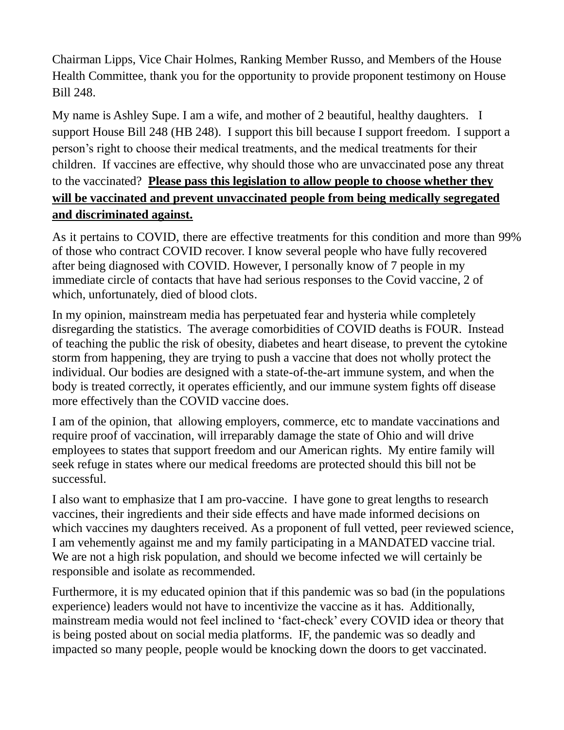Chairman Lipps, Vice Chair Holmes, Ranking Member Russo, and Members of the House Health Committee, thank you for the opportunity to provide proponent testimony on House Bill 248.

My name is Ashley Supe. I am a wife, and mother of 2 beautiful, healthy daughters. I support House Bill 248 (HB 248). I support this bill because I support freedom. I support a person's right to choose their medical treatments, and the medical treatments for their children. If vaccines are effective, why should those who are unvaccinated pose any threat to the vaccinated? **Please pass this legislation to allow people to choose whether they will be vaccinated and prevent unvaccinated people from being medically segregated and discriminated against.** 

As it pertains to COVID, there are effective treatments for this condition and more than 99% of those who contract COVID recover. I know several people who have fully recovered after being diagnosed with COVID. However, I personally know of 7 people in my immediate circle of contacts that have had serious responses to the Covid vaccine, 2 of which, unfortunately, died of blood clots.

In my opinion, mainstream media has perpetuated fear and hysteria while completely disregarding the statistics. The average comorbidities of COVID deaths is FOUR. Instead of teaching the public the risk of obesity, diabetes and heart disease, to prevent the cytokine storm from happening, they are trying to push a vaccine that does not wholly protect the individual. Our bodies are designed with a state-of-the-art immune system, and when the body is treated correctly, it operates efficiently, and our immune system fights off disease more effectively than the COVID vaccine does.

I am of the opinion, that allowing employers, commerce, etc to mandate vaccinations and require proof of vaccination, will irreparably damage the state of Ohio and will drive employees to states that support freedom and our American rights. My entire family will seek refuge in states where our medical freedoms are protected should this bill not be successful.

I also want to emphasize that I am pro-vaccine. I have gone to great lengths to research vaccines, their ingredients and their side effects and have made informed decisions on which vaccines my daughters received. As a proponent of full vetted, peer reviewed science, I am vehemently against me and my family participating in a MANDATED vaccine trial. We are not a high risk population, and should we become infected we will certainly be responsible and isolate as recommended.

Furthermore, it is my educated opinion that if this pandemic was so bad (in the populations experience) leaders would not have to incentivize the vaccine as it has. Additionally, mainstream media would not feel inclined to 'fact-check' every COVID idea or theory that is being posted about on social media platforms. IF, the pandemic was so deadly and impacted so many people, people would be knocking down the doors to get vaccinated.